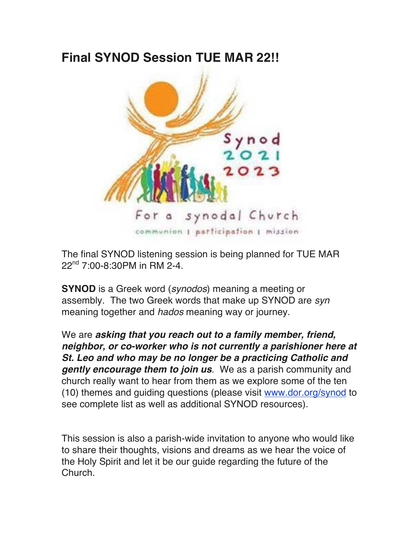## **Final SYNOD Session TUE MAR 22!!**



The final SYNOD listening session is being planned for TUE MAR  $22^{nd}$  7:00-8:30PM in RM 2-4.

**SYNOD** is a Greek word (*synodos*) meaning a meeting or assembly. The two Greek words that make up SYNOD are *syn* meaning together and *hados* meaning way or journey.

We are *asking that you reach out to a family member, friend, neighbor, or co-worker who is not currently a parishioner here at St. Leo and who may be no longer be a practicing Catholic and gently encourage them to join us*. We as a parish community and church really want to hear from them as we explore some of the ten (10) themes and guiding questions (please visit www.dor.org/synod to see complete list as well as additional SYNOD resources).

This session is also a parish-wide invitation to anyone who would like to share their thoughts, visions and dreams as we hear the voice of the Holy Spirit and let it be our guide regarding the future of the Church.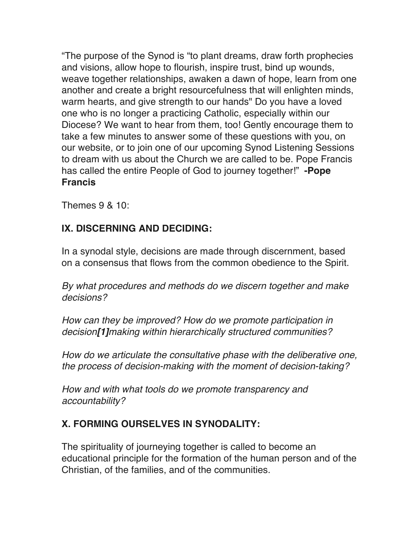"The purpose of the Synod is "to plant dreams, draw forth prophecies and visions, allow hope to flourish, inspire trust, bind up wounds, weave together relationships, awaken a dawn of hope, learn from one another and create a bright resourcefulness that will enlighten minds, warm hearts, and give strength to our hands" Do you have a loved one who is no longer a practicing Catholic, especially within our Diocese? We want to hear from them, too! Gently encourage them to take a few minutes to answer some of these questions with you, on our website, or to join one of our upcoming Synod Listening Sessions to dream with us about the Church we are called to be. Pope Francis has called the entire People of God to journey together!" **-Pope Francis**

Themes 9 & 10:

## **IX. DISCERNING AND DECIDING:**

In a synodal style, decisions are made through discernment, based on a consensus that flows from the common obedience to the Spirit.

*By what procedures and methods do we discern together and make decisions?*

*How can they be improved? How do we promote participation in decision[1]making within hierarchically structured communities?*

*How do we articulate the consultative phase with the deliberative one, the process of decision-making with the moment of decision-taking?*

*How and with what tools do we promote transparency and accountability?*

## **X. FORMING OURSELVES IN SYNODALITY:**

The spirituality of journeying together is called to become an educational principle for the formation of the human person and of the Christian, of the families, and of the communities.